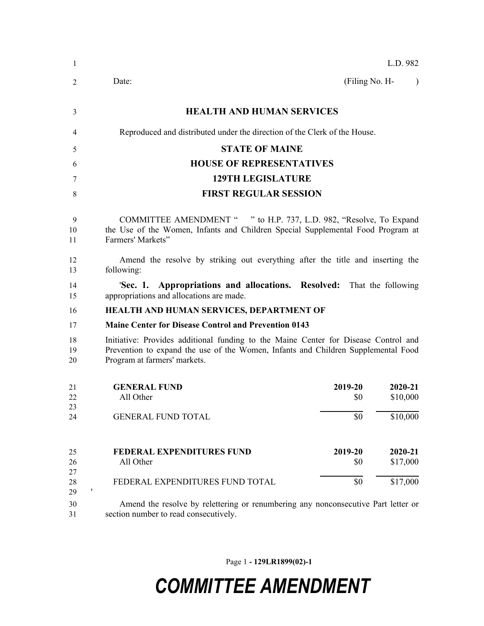| 1              |                                                                                                                                                                                                          | L.D. 982       |                     |
|----------------|----------------------------------------------------------------------------------------------------------------------------------------------------------------------------------------------------------|----------------|---------------------|
| 2              | Date:                                                                                                                                                                                                    | (Filing No. H- | $\lambda$           |
| 3              | <b>HEALTH AND HUMAN SERVICES</b>                                                                                                                                                                         |                |                     |
| 4              | Reproduced and distributed under the direction of the Clerk of the House.                                                                                                                                |                |                     |
| 5              | <b>STATE OF MAINE</b>                                                                                                                                                                                    |                |                     |
| 6              | <b>HOUSE OF REPRESENTATIVES</b>                                                                                                                                                                          |                |                     |
| 7              | <b>129TH LEGISLATURE</b>                                                                                                                                                                                 |                |                     |
| 8              | <b>FIRST REGULAR SESSION</b>                                                                                                                                                                             |                |                     |
| 9<br>10<br>11  | COMMITTEE AMENDMENT " " to H.P. 737, L.D. 982, "Resolve, To Expand<br>the Use of the Women, Infants and Children Special Supplemental Food Program at<br>Farmers' Markets"                               |                |                     |
| 12<br>13       | Amend the resolve by striking out everything after the title and inserting the<br>following:                                                                                                             |                |                     |
| 14<br>15       | 'Sec. 1. Appropriations and allocations. Resolved: That the following<br>appropriations and allocations are made.                                                                                        |                |                     |
| 16             | HEALTH AND HUMAN SERVICES, DEPARTMENT OF                                                                                                                                                                 |                |                     |
| 17             | <b>Maine Center for Disease Control and Prevention 0143</b>                                                                                                                                              |                |                     |
| 18<br>19<br>20 | Initiative: Provides additional funding to the Maine Center for Disease Control and<br>Prevention to expand the use of the Women, Infants and Children Supplemental Food<br>Program at farmers' markets. |                |                     |
| 21<br>22       | 2019-20<br><b>GENERAL FUND</b><br>All Other<br>\$0                                                                                                                                                       |                | 2020-21<br>\$10,000 |
| 23<br>24       | <b>GENERAL FUND TOTAL</b><br>\$0                                                                                                                                                                         |                | \$10,000            |
| 25<br>26<br>27 | <b>FEDERAL EXPENDITURES FUND</b><br>2019-20<br>\$0<br>All Other                                                                                                                                          |                | 2020-21<br>\$17,000 |
| 28<br>29       | \$0<br>FEDERAL EXPENDITURES FUND TOTAL                                                                                                                                                                   |                | \$17,000            |
| 30<br>31       | Amend the resolve by relettering or renumbering any nonconsecutive Part letter or<br>section number to read consecutively.                                                                               |                |                     |

Page 1 **- 129LR1899(02)-1**

## *COMMITTEE AMENDMENT*